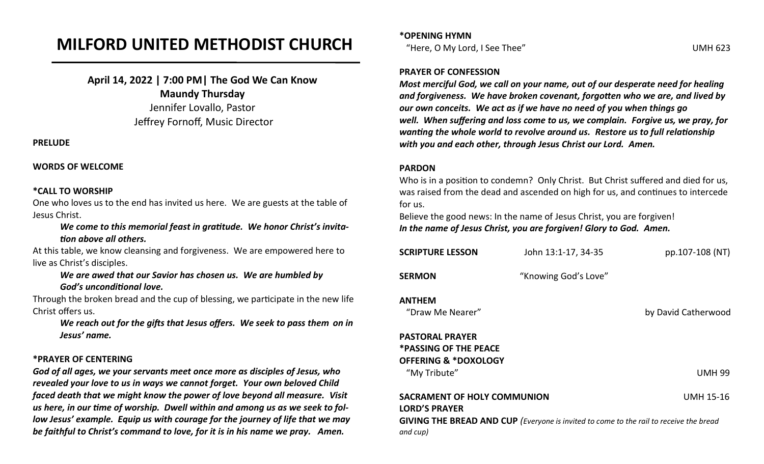# **MILFORD UNITED METHODIST CHURCH**

**April 14, 2022 | 7:00 PM| The God We Can Know**

**Maundy Thursday** Jennifer Lovallo, Pastor Jeffrey Fornoff, Music Director

# **PRELUDE**

# **WORDS OF WELCOME**

# **\*CALL TO WORSHIP**

One who loves us to the end has invited us here. We are guests at the table of Jesus Christ.

*We come to this memorial feast in gratitude. We honor Christ's invitation above all others.*

At this table, we know cleansing and forgiveness. We are empowered here to live as Christ's disciples.

*We are awed that our Savior has chosen us. We are humbled by God's unconditional love.*

Through the broken bread and the cup of blessing, we participate in the new life Christ offers us.

*We reach out for the gifts that Jesus offers. We seek to pass them on in Jesus' name.*

# **\*PRAYER OF CENTERING**

*God of all ages, we your servants meet once more as disciples of Jesus, who revealed your love to us in ways we cannot forget. Your own beloved Child faced death that we might know the power of love beyond all measure. Visit us here, in our time of worship. Dwell within and among us as we seek to follow Jesus' example. Equip us with courage for the journey of life that we may be faithful to Christ's command to love, for it is in his name we pray. Amen.*

# **\*OPENING HYMN**

"Here, O My Lord, I See Thee" Network and the UMH 623

# **PRAYER OF CONFESSION**

*Most merciful God, we call on your name, out of our desperate need for healing and forgiveness. We have broken covenant, forgotten who we are, and lived by our own conceits. We act as if we have no need of you when things go well. When suffering and loss come to us, we complain. Forgive us, we pray, for wanting the whole world to revolve around us. Restore us to full relationship with you and each other, through Jesus Christ our Lord. Amen.*

## **PARDON**

Who is in a position to condemn? Only Christ. But Christ suffered and died for us, was raised from the dead and ascended on high for us, and continues to intercede for us.

Believe the good news: In the name of Jesus Christ, you are forgiven! *In the name of Jesus Christ, you are forgiven! Glory to God. Amen.*

| <b>SCRIPTURE LESSON</b>                                                                                   | John 13:1-17, 34-35  | pp.107-108 (NT)     |
|-----------------------------------------------------------------------------------------------------------|----------------------|---------------------|
| <b>SERMON</b>                                                                                             | "Knowing God's Love" |                     |
| <b>ANTHEM</b><br>"Draw Me Nearer"                                                                         |                      | by David Catherwood |
| <b>PASTORAL PRAYER</b><br><b>*PASSING OF THE PEACE</b><br><b>OFFERING &amp; *DOXOLOGY</b><br>"My Tribute" |                      | <b>UMH 99</b>       |
| <b>SACRAMENT OF HOLY COMMUNION</b><br><b>LORD'S PRAYER</b>                                                |                      | <b>UMH 15-16</b>    |
| GIVING THE BREAD AND CUP (Everyone is invited to come to the rail to receive the bread<br>and cup)        |                      |                     |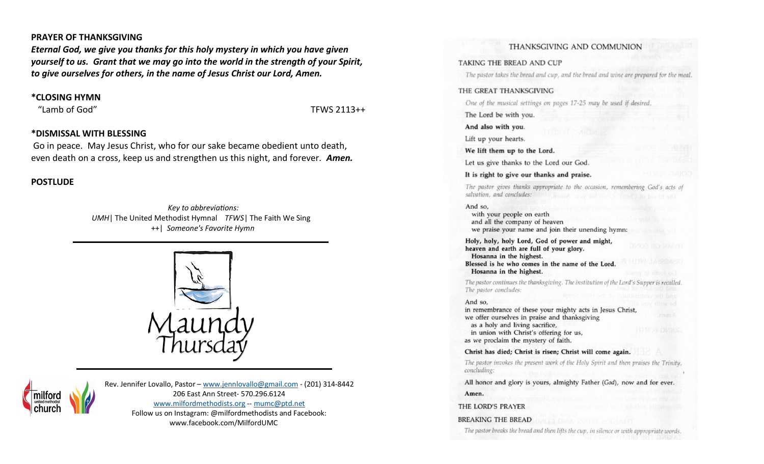#### **PRAYER OF THANKSGIVING**

*Eternal God, we give you thanks for this holy mystery in which you have given yourself to us. Grant that we may go into the world in the strength of your Spirit, to give ourselves for others, in the name of Jesus Christ our Lord, Amen.*

#### **\*CLOSING HYMN**

"Lamb of God" TFWS 2113++

#### **\*DISMISSAL WITH BLESSING**

Go in peace. May Jesus Christ, who for our sake became obedient unto death, even death on a cross, keep us and strengthen us this night, and forever. *Amen.*

### **POSTLUDE**

 *Key to abbreviations: UMH*| The United Methodist Hymnal *TFWS*| The Faith We Sing ++| *Someone's Favorite Hymn*





Rev. Jennifer Lovallo, Pastor – [www.jennlovallo@gmail.com](file:///C:/Shared/Bulls/2021/www.milfordmethodists@gmail.com) - (201) 314-8442 206 East Ann Street- 570.296.6124 [www.milfordmethodists.org](http://www.milfordmethodists.org) -- [mumc@ptd.net](mailto:mumc@ptd.net) Follow us on Instagram: @milfordmethodists and Facebook:

www.facebook.com/MilfordUMC

#### THANKSGIVING AND COMMUNION

#### TAKING THE BREAD AND CUP

The pastor takes the bread and cup, and the bread and wine are prepared for the meal.

#### THE GREAT THANKSGIVING

One of the musical settings on pages 17-25 may be used if desired.

The Lord be with you.

And also with you.

Lift up your hearts.

We lift them up to the Lord.

Let us give thanks to the Lord our God.

#### It is right to give our thanks and praise.

The pastor gives thanks appropriate to the occasion, remembering God's acts of salvation, and concludes: the contract of the salvation and concludes:

#### And so,

with your people on earth and all the company of heaven we praise your name and join their unending hymn:

Holy, holy, holy Lord, God of power and might, heaven and earth are full of your glory. Hosanna in the highest. Blessed is he who comes in the name of the Lord. Hosanna in the highest.

The pastor continues the thanksgiving. The institution of the Lord's Supper is recalled The pastor concludes:

#### And so,

in remembrance of these your mighty acts in Jesus Christ, we offer ourselves in praise and thanksgiving as a holy and living sacrifice, in union with Christ's offering for us, as we proclaim the mystery of faith.

#### Christ has died; Christ is risen; Christ will come again.

The pastor invokes the present work of the Holy Spirit and then praises the Trinity, concluding:

All honor and glory is yours, almighty Father (God), now and for ever. Amen.

THE LORD'S PRAYER

#### **BREAKING THE BREAD**

The pastor breaks the bread and then lifts the cup, in silence or with appropriate words.